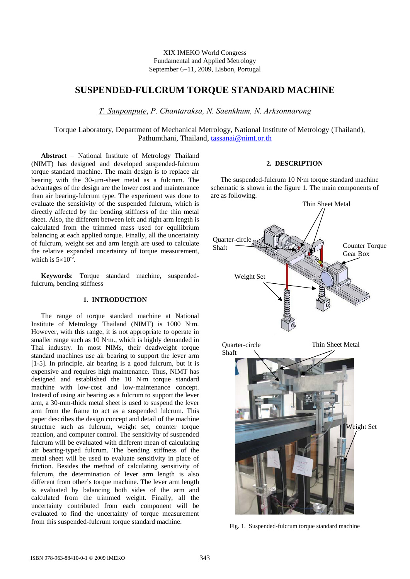# XIX IMEKO World Congress Fundamental and Applied Metrology September 6−11, 2009, Lisbon, Portugal

# **SUSPENDED-FULCRUM TORQUE STANDARD MACHINE**

*T. Sanponpute*, *P. Chantaraksa, N. Saenkhum, N. Arksonnarong* 

Torque Laboratory, Department of Mechanical Metrology, National Institute of Metrology (Thailand), Pathumthani, Thailand, tassanai@nimt.or.th

**Abstract** − National Institute of Metrology Thailand (NIMT) has designed and developed suspended-fulcrum torque standard machine. The main design is to replace air bearing with the 30-μm-sheet metal as a fulcrum. The advantages of the design are the lower cost and maintenance than air bearing-fulcrum type. The experiment was done to evaluate the sensitivity of the suspended fulcrum, which is directly affected by the bending stiffness of the thin metal sheet. Also, the different between left and right arm length is calculated from the trimmed mass used for equilibrium balancing at each applied torque. Finally, all the uncertainty of fulcrum, weight set and arm length are used to calculate the relative expanded uncertainty of torque measurement, which is  $5\times10^{-5}$ .

**Keywords**: Torque standard machine, suspendedfulcrum**,** bending stiffness

### **1. INTRODUCTION**

The range of torque standard machine at National Institute of Metrology Thailand (NIMT) is 1000 N·m. However, with this range, it is not appropriate to operate in smaller range such as 10 N·m., which is highly demanded in Thai industry. In most NIMs, their deadweight torque standard machines use air bearing to support the lever arm [1-5]. In principle, air bearing is a good fulcrum, but it is expensive and requires high maintenance. Thus, NIMT has designed and established the 10 N·m torque standard machine with low-cost and low-maintenance concept. Instead of using air bearing as a fulcrum to support the lever arm, a 30-mm-thick metal sheet is used to suspend the lever arm from the frame to act as a suspended fulcrum. This paper describes the design concept and detail of the machine structure such as fulcrum, weight set, counter torque reaction, and computer control. The sensitivity of suspended fulcrum will be evaluated with different mean of calculating air bearing-typed fulcrum. The bending stiffness of the metal sheet will be used to evaluate sensitivity in place of friction. Besides the method of calculating sensitivity of fulcrum, the determination of lever arm length is also different from other's torque machine. The lever arm length is evaluated by balancing both sides of the arm and calculated from the trimmed weight. Finally, all the uncertainty contributed from each component will be evaluated to find the uncertainty of torque measurement from this suspended-fulcrum torque standard machine.

# **2. DESCRIPTION**

The suspended-fulcrum 10 N·m torque standard machine schematic is shown in the figure 1. The main components of are as following.



Fig. 1. Suspended-fulcrum torque standard machine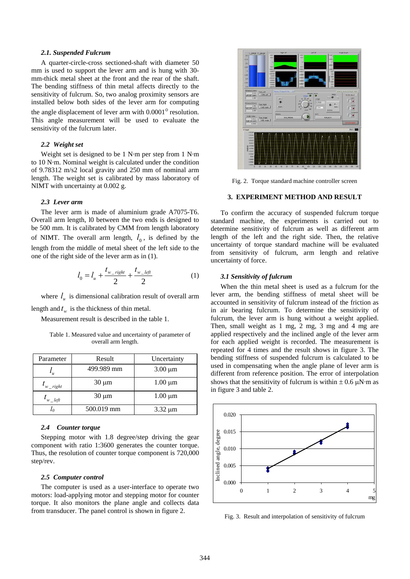#### *2.1. Suspended Fulcrum*

A quarter-circle-cross sectioned-shaft with diameter 50 mm is used to support the lever arm and is hung with 30 mm-thick metal sheet at the front and the rear of the shaft. The bending stiffness of thin metal affects directly to the sensitivity of fulcrum. So, two analog proximity sensors are installed below both sides of the lever arm for computing the angle displacement of lever arm with  $0.0001^\circ$  resolution. This angle measurement will be used to evaluate the sensitivity of the fulcrum later.

### *2.2 Weight set*

Weight set is designed to be 1 N·m per step from 1 N·m to 10 N·m. Nominal weight is calculated under the condition of 9.78312 m/s2 local gravity and 250 mm of nominal arm length. The weight set is calibrated by mass laboratory of NIMT with uncertainty at 0.002 g.

### *2.3 Lever arm*

The lever arm is made of aluminium grade A7075-T6. Overall arm length, l0 between the two ends is designed to be 500 mm. It is calibrated by CMM from length laboratory of NIMT. The overall arm length,  $l_0$ , is defined by the length from the middle of metal sheet of the left side to the one of the right side of the lever arm as in (1).

$$
l_0 = l_u + \frac{t_{w\_right}}{2} + \frac{t_{w\_left}}{2}
$$
 (1)

where  $l_{\nu}$  is dimensional calibration result of overall arm length and  $t_w$  is the thickness of thin metal.

Measurement result is described in the table 1.

Table 1. Measured value and uncertainty of parameter of overall arm length.

| Parameter           | Result     | Uncertainty  |  |  |
|---------------------|------------|--------------|--|--|
| $\mathbf{u}$        | 499.989 mm | $3.00 \mu m$ |  |  |
| $t_{w\_right}$      | $30 \mu m$ | $1.00 \mu m$ |  |  |
| $t_{w_{\perp}$ left | $30 \mu m$ | $1.00 \mu m$ |  |  |
|                     | 500.019 mm | $3.32 \mu m$ |  |  |

### *2.4 Counter torque*

Stepping motor with 1.8 degree/step driving the gear component with ratio 1:3600 generates the counter torque. Thus, the resolution of counter torque component is 720,000 step/rev.

# *2.5 Computer control*

The computer is used as a user-interface to operate two motors: load-applying motor and stepping motor for counter torque. It also monitors the plane angle and collects data from transducer. The panel control is shown in figure 2.



Fig. 2. Torque standard machine controller screen

#### **3. EXPERIMENT METHOD AND RESULT**

To confirm the accuracy of suspended fulcrum torque standard machine, the experiments is carried out to determine sensitivity of fulcrum as well as different arm length of the left and the right side. Then, the relative uncertainty of torque standard machine will be evaluated from sensitivity of fulcrum, arm length and relative uncertainty of force.

### *3.1 Sensitivity of fulcrum*

When the thin metal sheet is used as a fulcrum for the lever arm, the bending stiffness of metal sheet will be accounted in sensitivity of fulcrum instead of the friction as in air bearing fulcrum. To determine the sensitivity of fulcrum, the lever arm is hung without a weight applied. Then, small weight as 1 mg, 2 mg, 3 mg and 4 mg are applied respectively and the inclined angle of the lever arm for each applied weight is recorded. The measurement is repeated for 4 times and the result shows in figure 3. The bending stiffness of suspended fulcrum is calculated to be used in compensating when the angle plane of lever arm is different from reference position. The error of interpolation shows that the sensitivity of fulcrum is within  $\pm$  0.6 μN·m as in figure 3 and table 2.



Fig. 3. Result and interpolation of sensitivity of fulcrum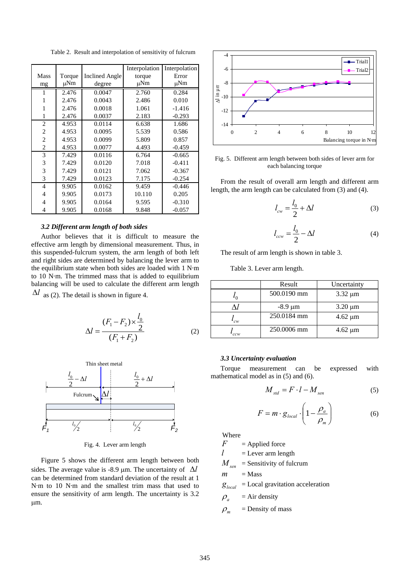Table 2. Result and interpolation of sensitivity of fulcrum

|                |        |                       | Interpolation | Interpolation |
|----------------|--------|-----------------------|---------------|---------------|
| <b>Mass</b>    | Torque | <b>Inclined Angle</b> | torque        | Error         |
| mg             | μNm    | degree                | μNm           | μNm           |
| 1              | 2.476  | 0.0047                | 2.760         | 0.284         |
| 1              | 2.476  | 0.0043                | 2.486         | 0.010         |
| 1              | 2.476  | 0.0018                | 1.061         | $-1.416$      |
| 1              | 2.476  | 0.0037                | 2.183         | $-0.293$      |
| $\overline{c}$ | 4.953  | 0.0114                | 6.638         | 1.686         |
| $\overline{c}$ | 4.953  | 0.0095                | 5.539         | 0.586         |
| $\overline{2}$ | 4.953  | 0.0099                | 5.809         | 0.857         |
| 2              | 4.953  | 0.0077                | 4.493         | $-0.459$      |
| 3              | 7.429  | 0.0116                | 6.764         | $-0.665$      |
| 3              | 7.429  | 0.0120                | 7.018         | $-0.411$      |
| 3              | 7.429  | 0.0121                | 7.062         | $-0.367$      |
| 3              | 7.429  | 0.0123                | 7.175         | $-0.254$      |
| $\overline{4}$ | 9.905  | 0.0162                | 9.459         | $-0.446$      |
| 4              | 9.905  | 0.0173                | 10.110        | 0.205         |
| 4              | 9.905  | 0.0164                | 9.595         | $-0.310$      |
| 4              | 9.905  | 0.0168                | 9.848         | $-0.057$      |

### *3.2 Different arm length of both sides*

Author believes that it is difficult to measure the effective arm length by dimensional measurement. Thus, in this suspended-fulcrum system, the arm length of both left and right sides are determined by balancing the lever arm to the equilibrium state when both sides are loaded with 1 N·m to 10 N·m. The trimmed mass that is added to equilibrium balancing will be used to calculate the different arm length  $\Delta l$  as (2). The detail is shown in figure 4.

$$
\Delta l = \frac{(F_1 - F_2) \times \frac{l_0}{2}}{(F_1 + F_2)}
$$
 (2)



Fig. 4. Lever arm length

Figure 5 shows the different arm length between both sides. The average value is -8.9  $\mu$ m. The uncertainty of  $\Delta l$ can be determined from standard deviation of the result at 1 N·m to 10 N·m and the smallest trim mass that used to ensure the sensitivity of arm length. The uncertainty is 3.2 μm.



Fig. 5. Different arm length between both sides of lever arm for each balancing torque

From the result of overall arm length and different arm length, the arm length can be calculated from (3) and (4).

$$
l_{cw} = \frac{l_0}{2} + \Delta l \tag{3}
$$

$$
l_{ccw} = \frac{l_0}{2} - \Delta l \tag{4}
$$

The result of arm length is shown in table 3.

Table 3. Lever arm length.

|     | Result       | Uncertainty  |
|-----|--------------|--------------|
|     | 500.0190 mm  | $3.32 \mu m$ |
|     | $-8.9 \mu m$ | $3.20 \mu m$ |
| 'cw | 250.0184 mm  | $4.62 \mu m$ |
| ccw | 250,0006 mm  | $4.62 \mu m$ |

#### *3.3 Uncertainty evaluation*

Torque measurement can be expressed with mathematical model as in (5) and (6).

$$
M_{\rm std} = F \cdot l - M_{\rm sen} \tag{5}
$$

$$
F = m \cdot g_{local} \cdot \left(1 - \frac{\rho_a}{\rho_m}\right) \tag{6}
$$

Where

 $F =$  Applied force

 $l =$  Lever arm length

 $M_{sen}$  = Sensitivity of fulcrum

$$
m =
$$
Mass

 $g_{local}$  = Local gravitation acceleration

$$
\rho_a = Air density
$$

 $\rho_m$  = Density of mass